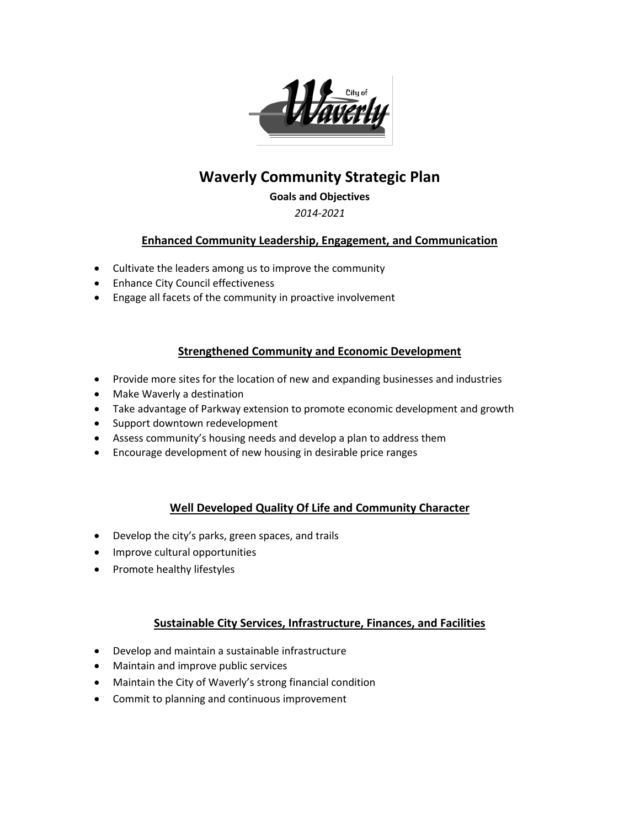

# **Waverly Community Strategic Plan**

#### **Goals and Objectives**

#### *2014-2021*

#### **Enhanced Community Leadership, Engagement, and Communication**

- Cultivate the leaders among us to improve the community
- Enhance City Council effectiveness
- Engage all facets of the community in proactive involvement

#### **Strengthened Community and Economic Development**

- Provide more sites for the location of new and expanding businesses and industries
- Make Waverly a destination
- Take advantage of Parkway extension to promote economic development and growth
- Support downtown redevelopment
- Assess community's housing needs and develop a plan to address them
- Encourage development of new housing in desirable price ranges

## **Well Developed Quality Of Life and Community Character**

- Develop the city's parks, green spaces, and trails
- Improve cultural opportunities
- Promote healthy lifestyles

## **Sustainable City Services, Infrastructure, Finances, and Facilities**

- Develop and maintain a sustainable infrastructure
- Maintain and improve public services
- Maintain the City of Waverly's strong financial condition
- Commit to planning and continuous improvement